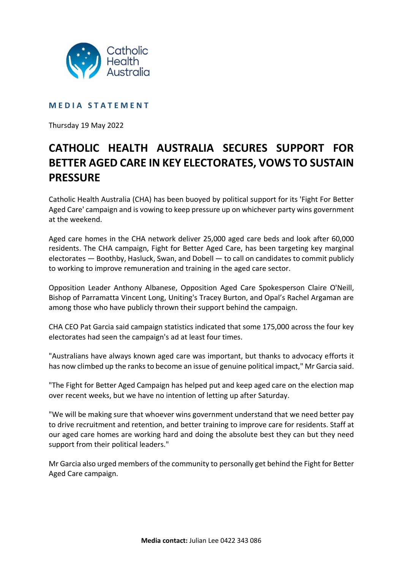

## **M E D I A S T A T E M E N T**

Thursday 19 May 2022

## **CATHOLIC HEALTH AUSTRALIA SECURES SUPPORT FOR BETTER AGED CARE IN KEY ELECTORATES, VOWS TO SUSTAIN PRESSURE**

Catholic Health Australia (CHA) has been buoyed by political support for its 'Fight For Better Aged Care' campaign and is vowing to keep pressure up on whichever party wins government at the weekend.

Aged care homes in the CHA network deliver 25,000 aged care beds and look after 60,000 residents. The CHA campaign, Fight for Better Aged Care, has been targeting key marginal electorates — Boothby, Hasluck, Swan, and Dobell — to call on candidates to commit publicly to working to improve remuneration and training in the aged care sector.

Opposition Leader Anthony Albanese, Opposition Aged Care Spokesperson Claire O'Neill, Bishop of Parramatta Vincent Long, Uniting's Tracey Burton, and Opal's Rachel Argaman are among those who have publicly thrown their support behind the campaign.

CHA CEO Pat Garcia said campaign statistics indicated that some 175,000 across the four key electorates had seen the campaign's ad at least four times.

"Australians have always known aged care was important, but thanks to advocacy efforts it has now climbed up the ranks to become an issue of genuine political impact," Mr Garcia said.

"The Fight for Better Aged Campaign has helped put and keep aged care on the election map over recent weeks, but we have no intention of letting up after Saturday.

"We will be making sure that whoever wins government understand that we need better pay to drive recruitment and retention, and better training to improve care for residents. Staff at our aged care homes are working hard and doing the absolute best they can but they need support from their political leaders."

Mr Garcia also urged members of the community to personally get behind the Fight for Better Aged Care campaign.